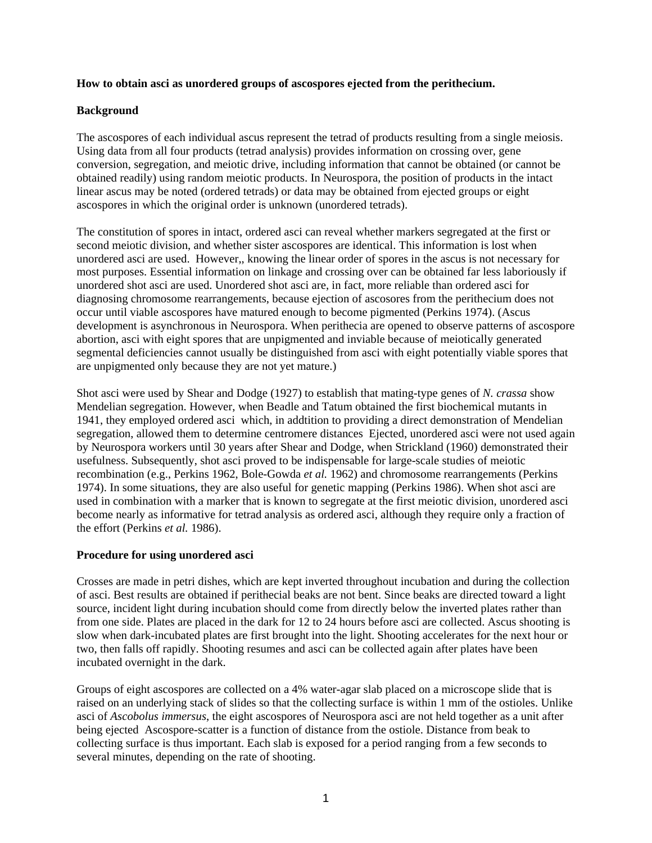## **How to obtain asci as unordered groups of ascospores ejected from the perithecium.**

## **Background**

The ascospores of each individual ascus represent the tetrad of products resulting from a single meiosis. Using data from all four products (tetrad analysis) provides information on crossing over, gene conversion, segregation, and meiotic drive, including information that cannot be obtained (or cannot be obtained readily) using random meiotic products. In Neurospora, the position of products in the intact linear ascus may be noted (ordered tetrads) or data may be obtained from ejected groups or eight ascospores in which the original order is unknown (unordered tetrads).

The constitution of spores in intact, ordered asci can reveal whether markers segregated at the first or second meiotic division, and whether sister ascospores are identical. This information is lost when unordered asci are used. However,, knowing the linear order of spores in the ascus is not necessary for most purposes. Essential information on linkage and crossing over can be obtained far less laboriously if unordered shot asci are used. Unordered shot asci are, in fact, more reliable than ordered asci for diagnosing chromosome rearrangements, because ejection of ascosores from the perithecium does not occur until viable ascospores have matured enough to become pigmented (Perkins 1974). (Ascus development is asynchronous in Neurospora. When perithecia are opened to observe patterns of ascospore abortion, asci with eight spores that are unpigmented and inviable because of meiotically generated segmental deficiencies cannot usually be distinguished from asci with eight potentially viable spores that are unpigmented only because they are not yet mature.)

Shot asci were used by Shear and Dodge (1927) to establish that mating-type genes of *N. crassa* show Mendelian segregation. However, when Beadle and Tatum obtained the first biochemical mutants in 1941, they employed ordered asci which, in addtition to providing a direct demonstration of Mendelian segregation, allowed them to determine centromere distances Ejected, unordered asci were not used again by Neurospora workers until 30 years after Shear and Dodge, when Strickland (1960) demonstrated their usefulness. Subsequently, shot asci proved to be indispensable for large-scale studies of meiotic recombination (e.g., Perkins 1962, Bole-Gowda *et al.* 1962) and chromosome rearrangements (Perkins 1974). In some situations, they are also useful for genetic mapping (Perkins 1986). When shot asci are used in combination with a marker that is known to segregate at the first meiotic division, unordered asci become nearly as informative for tetrad analysis as ordered asci, although they require only a fraction of the effort (Perkins *et al.* 1986).

## **Procedure for using unordered asci**

Crosses are made in petri dishes, which are kept inverted throughout incubation and during the collection of asci. Best results are obtained if perithecial beaks are not bent. Since beaks are directed toward a light source, incident light during incubation should come from directly below the inverted plates rather than from one side. Plates are placed in the dark for 12 to 24 hours before asci are collected. Ascus shooting is slow when dark-incubated plates are first brought into the light. Shooting accelerates for the next hour or two, then falls off rapidly. Shooting resumes and asci can be collected again after plates have been incubated overnight in the dark.

Groups of eight ascospores are collected on a 4% water-agar slab placed on a microscope slide that is raised on an underlying stack of slides so that the collecting surface is within 1 mm of the ostioles. Unlike asci of *Ascobolus immersus*, the eight ascospores of Neurospora asci are not held together as a unit after being ejected Ascospore-scatter is a function of distance from the ostiole. Distance from beak to collecting surface is thus important. Each slab is exposed for a period ranging from a few seconds to several minutes, depending on the rate of shooting.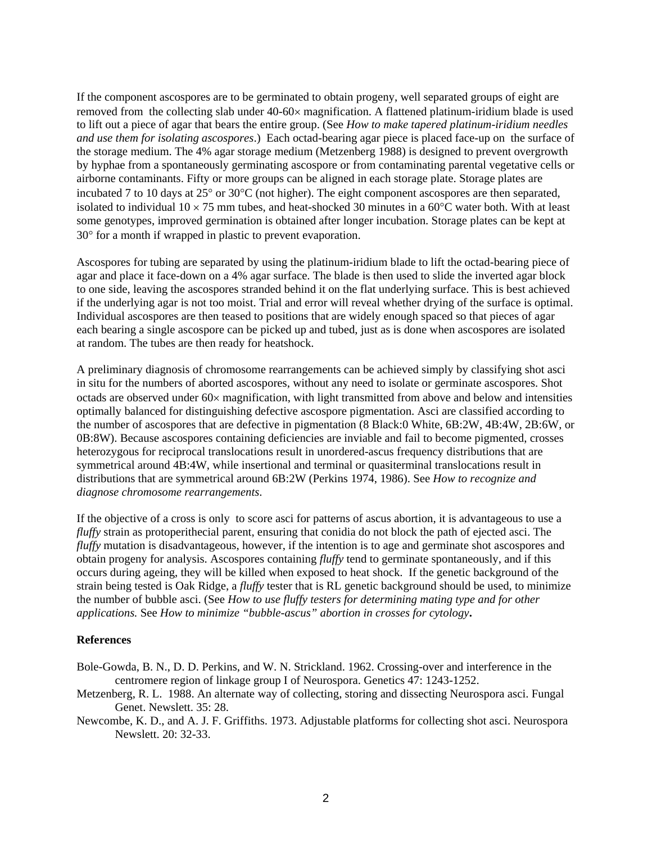If the component ascospores are to be germinated to obtain progeny, well separated groups of eight are removed from the collecting slab under 40-60× magnification. A flattened platinum-iridium blade is used to lift out a piece of agar that bears the entire group. (See *How to make tapered platinum-iridium needles and use them for isolating ascospores*.) Each octad-bearing agar piece is placed face-up on the surface of the storage medium. The 4% agar storage medium (Metzenberg 1988) is designed to prevent overgrowth by hyphae from a spontaneously germinating ascospore or from contaminating parental vegetative cells or airborne contaminants. Fifty or more groups can be aligned in each storage plate. Storage plates are incubated 7 to 10 days at 25° or 30°C (not higher). The eight component ascospores are then separated, isolated to individual  $10 \times 75$  mm tubes, and heat-shocked 30 minutes in a 60 $\degree$ C water both. With at least some genotypes, improved germination is obtained after longer incubation. Storage plates can be kept at 30° for a month if wrapped in plastic to prevent evaporation.

Ascospores for tubing are separated by using the platinum-iridium blade to lift the octad-bearing piece of agar and place it face-down on a 4% agar surface. The blade is then used to slide the inverted agar block to one side, leaving the ascospores stranded behind it on the flat underlying surface. This is best achieved if the underlying agar is not too moist. Trial and error will reveal whether drying of the surface is optimal. Individual ascospores are then teased to positions that are widely enough spaced so that pieces of agar each bearing a single ascospore can be picked up and tubed, just as is done when ascospores are isolated at random. The tubes are then ready for heatshock.

A preliminary diagnosis of chromosome rearrangements can be achieved simply by classifying shot asci in situ for the numbers of aborted ascospores, without any need to isolate or germinate ascospores. Shot octads are observed under 60× magnification, with light transmitted from above and below and intensities optimally balanced for distinguishing defective ascospore pigmentation. Asci are classified according to the number of ascospores that are defective in pigmentation (8 Black:0 White, 6B:2W, 4B:4W, 2B:6W, or 0B:8W). Because ascospores containing deficiencies are inviable and fail to become pigmented, crosses heterozygous for reciprocal translocations result in unordered-ascus frequency distributions that are symmetrical around 4B:4W, while insertional and terminal or quasiterminal translocations result in distributions that are symmetrical around 6B:2W (Perkins 1974, 1986). See *How to recognize and diagnose chromosome rearrangements*.

If the objective of a cross is only to score asci for patterns of ascus abortion, it is advantageous to use a *fluffy* strain as protoperithecial parent, ensuring that conidia do not block the path of ejected asci. The *fluffy* mutation is disadvantageous, however, if the intention is to age and germinate shot ascospores and obtain progeny for analysis. Ascospores containing *fluffy* tend to germinate spontaneously, and if this occurs during ageing, they will be killed when exposed to heat shock. If the genetic background of the strain being tested is Oak Ridge, a *fluffy* tester that is RL genetic background should be used, to minimize the number of bubble asci. (See *How to use fluffy testers for determining mating type and for other applications.* See *How to minimize "bubble-ascus" abortion in crosses for cytology***.** 

## **References**

- Bole-Gowda, B. N., D. D. Perkins, and W. N. Strickland. 1962. Crossing-over and interference in the centromere region of linkage group I of Neurospora. Genetics 47: 1243-1252.
- Metzenberg, R. L. 1988. An alternate way of collecting, storing and dissecting Neurospora asci. Fungal Genet. Newslett. 35: 28.
- Newcombe, K. D., and A. J. F. Griffiths. 1973. Adjustable platforms for collecting shot asci. Neurospora Newslett. 20: 32-33.